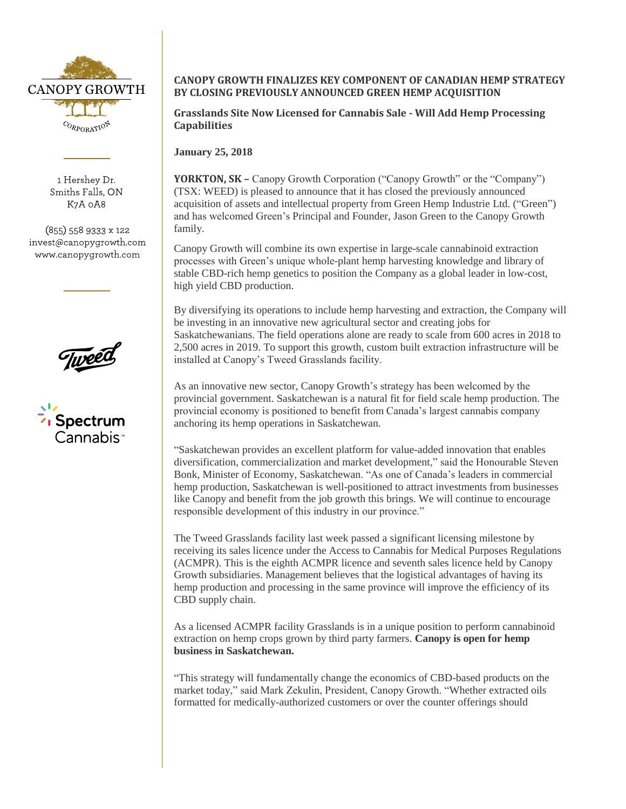

1 Hershey Dr. Smiths Falls, ON K7A 0A8

 $(855)$  558 9333 x 122 invest@canopygrowth.com www.canopygrowth.com



 $\overline{\phantom{a}}$ Spectrum

## **CANOPY GROWTH FINALIZES KEY COMPONENT OF CANADIAN HEMP STRATEGY BY CLOSING PREVIOUSLY ANNOUNCED GREEN HEMP ACQUISITION**

**Grasslands Site Now Licensed for Cannabis Sale - Will Add Hemp Processing Capabilities**

**January 25, 2018** 

**YORKTON, SK –** Canopy Growth Corporation ("Canopy Growth" or the "Company") (TSX: WEED) is pleased to announce that it has closed the previously announced acquisition of assets and intellectual property from Green Hemp Industrie Ltd. ("Green") and has welcomed Green's Principal and Founder, Jason Green to the Canopy Growth family.

Canopy Growth will combine its own expertise in large-scale cannabinoid extraction processes with Green's unique whole-plant hemp harvesting knowledge and library of stable CBD-rich hemp genetics to position the Company as a global leader in low-cost, high yield CBD production.

By diversifying its operations to include hemp harvesting and extraction, the Company will be investing in an innovative new agricultural sector and creating jobs for Saskatchewanians. The field operations alone are ready to scale from 600 acres in 2018 to 2,500 acres in 2019. To support this growth, custom built extraction infrastructure will be installed at Canopy's Tweed Grasslands facility.

As an innovative new sector, Canopy Growth's strategy has been welcomed by the provincial government. Saskatchewan is a natural fit for field scale hemp production. The provincial economy is positioned to benefit from Canada's largest cannabis company anchoring its hemp operations in Saskatchewan.

"Saskatchewan provides an excellent platform for value-added innovation that enables diversification, commercialization and market development," said the Honourable Steven Bonk, Minister of Economy, Saskatchewan. "As one of Canada's leaders in commercial hemp production, Saskatchewan is well-positioned to attract investments from businesses like Canopy and benefit from the job growth this brings. We will continue to encourage responsible development of this industry in our province."

The Tweed Grasslands facility last week passed a significant licensing milestone by receiving its sales licence under the Access to Cannabis for Medical Purposes Regulations (ACMPR). This is the eighth ACMPR licence and seventh sales licence held by Canopy Growth subsidiaries. Management believes that the logistical advantages of having its hemp production and processing in the same province will improve the efficiency of its CBD supply chain.

As a licensed ACMPR facility Grasslands is in a unique position to perform cannabinoid extraction on hemp crops grown by third party farmers. **Canopy is open for hemp business in Saskatchewan.**

"This strategy will fundamentally change the economics of CBD-based products on the market today," said Mark Zekulin, President, Canopy Growth. "Whether extracted oils formatted for medically-authorized customers or over the counter offerings should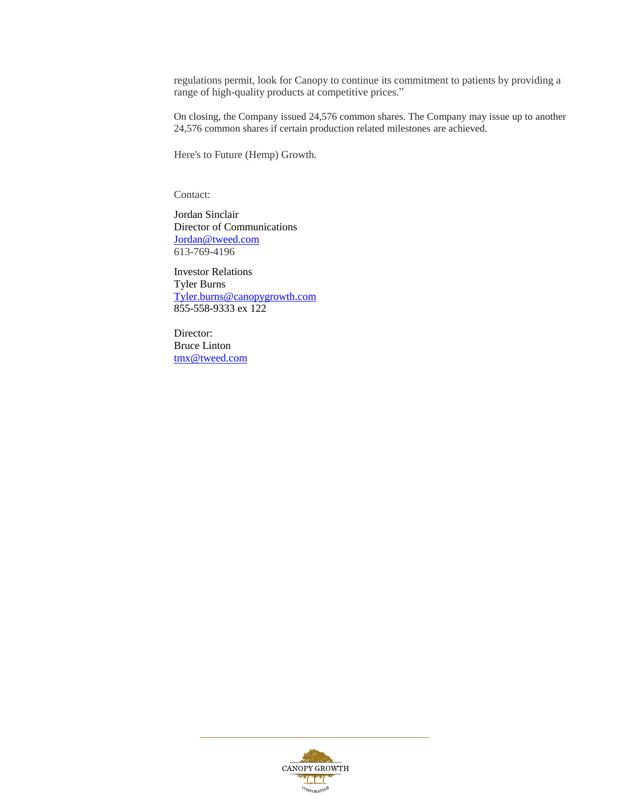regulations permit, look for Canopy to continue its commitment to patients by providing a range of high-quality products at competitive prices."

On closing, the Company issued 24,576 common shares. The Company may issue up to another 24,576 common shares if certain production related milestones are achieved.

Here's to Future (Hemp) Growth.

Contact:

Jordan Sinclair Director of Communications [Jordan@tweed.com](mailto:Jordan@tweed.com) 613-769-4196

Investor Relations Tyler Burns [Tyler.burns@canopygrowth.com](mailto:Tyler.burns@canopygrowth.com) 855-558-9333 ex 122

Director: Bruce Linton [tmx@tweed.com](mailto:tmx@tweed.com)